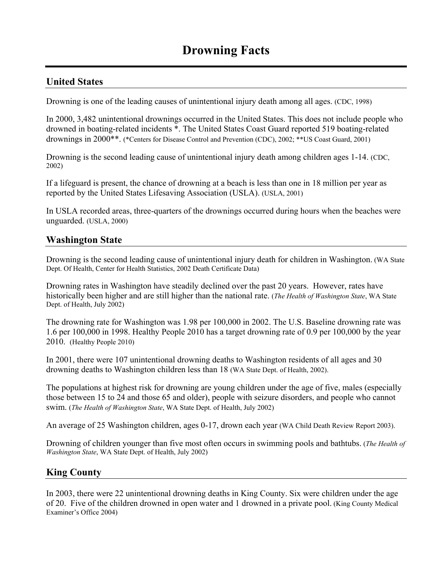# **United States**

Drowning is one of the leading causes of unintentional injury death among all ages. (CDC, 1998)

In 2000, 3,482 unintentional drownings occurred in the United States. This does not include people who drowned in boating-related incidents \*. The United States Coast Guard reported 519 boating-related drownings in 2000\*\*. (\*Centers for Disease Control and Prevention (CDC), 2002; \*\*US Coast Guard, 2001)

Drowning is the second leading cause of unintentional injury death among children ages 1-14. (CDC, 2002)

If a lifeguard is present, the chance of drowning at a beach is less than one in 18 million per year as reported by the United States Lifesaving Association (USLA). (USLA, 2001)

In USLA recorded areas, three-quarters of the drownings occurred during hours when the beaches were unguarded. (USLA, 2000)

# **Washington State**

Drowning is the second leading cause of unintentional injury death for children in Washington. (WA State Dept. Of Health, Center for Health Statistics, 2002 Death Certificate Data)

Drowning rates in Washington have steadily declined over the past 20 years. However, rates have historically been higher and are still higher than the national rate. (*The Health of Washington State*, WA State Dept. of Health, July 2002)

The drowning rate for Washington was 1.98 per 100,000 in 2002. The U.S. Baseline drowning rate was 1.6 per 100,000 in 1998. Healthy People 2010 has a target drowning rate of 0.9 per 100,000 by the year 2010. (Healthy People 2010)

In 2001, there were 107 unintentional drowning deaths to Washington residents of all ages and 30 drowning deaths to Washington children less than 18 (WA State Dept. of Health, 2002).

The populations at highest risk for drowning are young children under the age of five, males (especially those between 15 to 24 and those 65 and older), people with seizure disorders, and people who cannot swim. (*The Health of Washington State*, WA State Dept. of Health, July 2002)

An average of 25 Washington children, ages 0-17, drown each year (WA Child Death Review Report 2003).

Drowning of children younger than five most often occurs in swimming pools and bathtubs. (*The Health of Washington State*, WA State Dept. of Health, July 2002)

# **King County**

In 2003, there were 22 unintentional drowning deaths in King County. Six were children under the age of 20. Five of the children drowned in open water and 1 drowned in a private pool. (King County Medical Examiner's Office 2004)